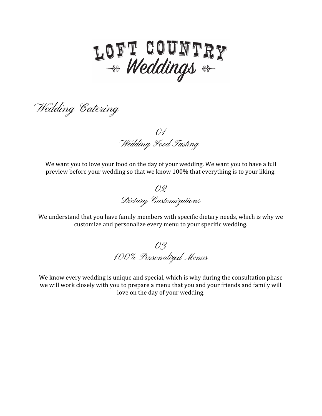

Wedding Catering

01 Wedding Food Tasting

We want you to love your food on the day of your wedding. We want you to have a full preview before your wedding so that we know 100% that everything is to your liking.

02 Dietary Customizations

We understand that you have family members with specific dietary needs, which is why we customize and personalize every menu to your specific wedding.

03 100% Personalized Menus

We know every wedding is unique and special, which is why during the consultation phase we will work closely with you to prepare a menu that you and your friends and family will love on the day of your wedding.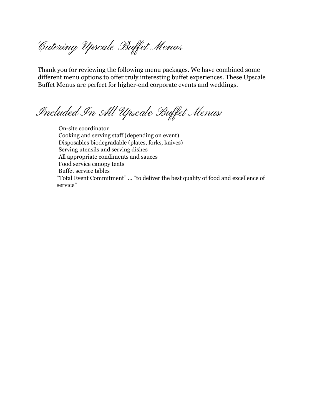Catering Upscale Buffet Menus

Thank you for reviewing the following menu packages. We have combined some different menu options to offer truly interesting buffet experiences. These Upscale Buffet Menus are perfect for higher-end corporate events and weddings.

Included In All Upscale Buffet Menus:

On-site coordinator Cooking and serving staff (depending on event) Disposables biodegradable (plates, forks, knives) Serving utensils and serving dishes All appropriate condiments and sauces Food service canopy tents Buffet service tables "Total Event Commitment" ... "to deliver the best quality of food and excellence of service"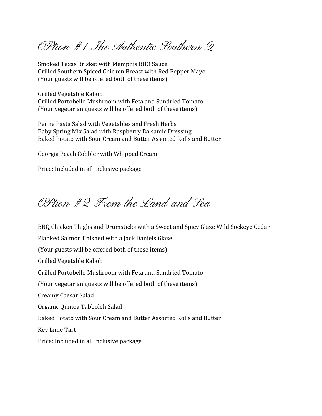OPtion #1 The Authentic Southern Q

Smoked Texas Brisket with Memphis BBQ Sauce Grilled Southern Spiced Chicken Breast with Red Pepper Mayo (Your guests will be offered both of these items)

Grilled Vegetable Kabob Grilled Portobello Mushroom with Feta and Sundried Tomato (Your vegetarian guests will be offered both of these items)

Penne Pasta Salad with Vegetables and Fresh Herbs Baby Spring Mix Salad with Raspberry Balsamic Dressing Baked Potato with Sour Cream and Butter Assorted Rolls and Butter

Georgia Peach Cobbler with Whipped Cream

Price: Included in all inclusive package

OPtion #2 From the Land and Sea

BBQ Chicken Thighs and Drumsticks with a Sweet and Spicy Glaze Wild Sockeye Cedar

Planked Salmon finished with a Jack Daniels Glaze (Your guests will be offered both of these items) Grilled Vegetable Kabob Grilled Portobello Mushroom with Feta and Sundried Tomato (Your vegetarian guests will be offered both of these items) Creamy Caesar Salad Organic Quinoa Tabboleh Salad Baked Potato with Sour Cream and Butter Assorted Rolls and Butter Key Lime Tart

Price: Included in all inclusive package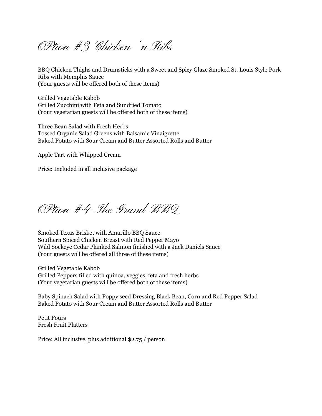OPtion #3 Chicken 'n Ribs

BBQ Chicken Thighs and Drumsticks with a Sweet and Spicy Glaze Smoked St. Louis Style Pork Ribs with Memphis Sauce (Your guests will be offered both of these items)

Grilled Vegetable Kabob Grilled Zucchini with Feta and Sundried Tomato (Your vegetarian guests will be offered both of these items)

Three Bean Salad with Fresh Herbs Tossed Organic Salad Greens with Balsamic Vinaigrette Baked Potato with Sour Cream and Butter Assorted Rolls and Butter

Apple Tart with Whipped Cream

Price: Included in all inclusive package

OPtion #4 The Grand BBQ

Smoked Texas Brisket with Amarillo BBQ Sauce Southern Spiced Chicken Breast with Red Pepper Mayo Wild Sockeye Cedar Planked Salmon finished with a Jack Daniels Sauce (Your guests will be offered all three of these items)

Grilled Vegetable Kabob Grilled Peppers filled with quinoa, veggies, feta and fresh herbs (Your vegetarian guests will be offered both of these items)

Baby Spinach Salad with Poppy seed Dressing Black Bean, Corn and Red Pepper Salad Baked Potato with Sour Cream and Butter Assorted Rolls and Butter

Petit Fours Fresh Fruit Platters

Price: All inclusive, plus additional \$2.75 / person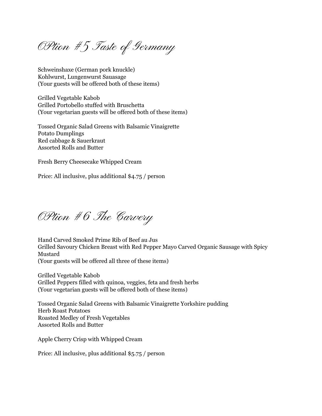OPtion #5 Taste of Germany

Schweinshaxe (German pork knuckle) Kohlwurst, Lungenwurst Sauasage (Your guests will be offered both of these items)

Grilled Vegetable Kabob Grilled Portobello stuffed with Bruschetta (Your vegetarian guests will be offered both of these items)

Tossed Organic Salad Greens with Balsamic Vinaigrette Potato Dumplings Red cabbage & Sauerkraut Assorted Rolls and Butter

Fresh Berry Cheesecake Whipped Cream

Price: All inclusive, plus additional \$4.75 / person

OPtion #6 The Carvery

Hand Carved Smoked Prime Rib of Beef au Jus Grilled Savoury Chicken Breast with Red Pepper Mayo Carved Organic Sausage with Spicy Mustard (Your guests will be offered all three of these items)

Grilled Vegetable Kabob Grilled Peppers filled with quinoa, veggies, feta and fresh herbs (Your vegetarian guests will be offered both of these items)

Tossed Organic Salad Greens with Balsamic Vinaigrette Yorkshire pudding Herb Roast Potatoes Roasted Medley of Fresh Vegetables Assorted Rolls and Butter

Apple Cherry Crisp with Whipped Cream

Price: All inclusive, plus additional \$5.75 / person